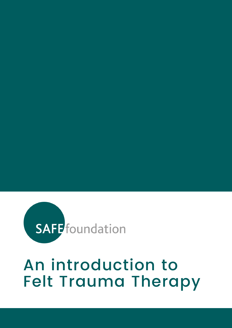

#### An introduction to Felt Trauma Therapy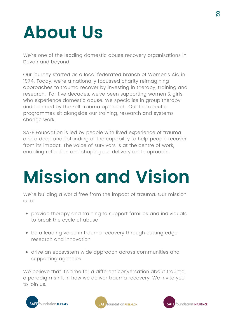## **About Us**

We're one of the leading domestic abuse recovery organisations in Devon and beyond.

Our journey started as a local federated branch of Women's Aid in 1974. Today, we're a nationally focussed charity reimagining approaches to trauma recover by investing in therapy, training and research. For five decades, we've been supporting women & girls who experience domestic abuse. We specialise in group therapy underpinned by the Felt trauma approach. Our therapeutic programmes sit alongside our training, research and systems change work.

SAFE Foundation is led by people with lived experience of trauma and a deep understanding of the capability to help people recover from its impact. The voice of survivors is at the centre of work, enabling reflection and shaping our delivery and approach.

## **Mission and Vision**

We're building a world free from the impact of trauma. Our mission is to:

- provide therapy and training to support families and individuals to break the cycle of abuse
- be a leading voice in trauma recovery through cutting edge research and innovation
- drive an ecosystem wide approach across communities and supporting agencies

We believe that it's time for a different conversation about trauma, a paradigm shift in how we deliver trauma recovery. We invite you to join us.